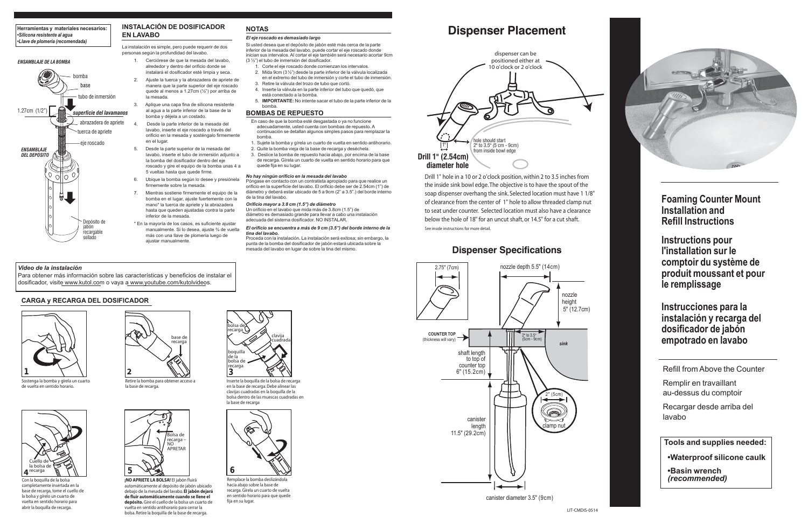## **Dispenser Specifications**

Refill from Above the Counter

Remplir en travaillant au-dessus du comptoir

Recargar desde arriba del lavabo

**Tools and supplies needed:**

 **•Waterproof silicone caulk**

Cerciórese de que la mesada del lavabo, alrededor y dentro del orificio donde se instalará el dosificador esté limpia y seca. 2. Ajuste la tuerca y la abrazadera de apriete de manera que la parte superior del eje roscado quede al menos a 1.27cm (½") por arriba de

> **•Basin wrench**  *(recommended)*

### **INSTALACIÓN DE DOSIFICADOR EN LAVABO**

Desde la parte inferior de la mesada del lavabo, inserte el eje roscado a través del orificio en la mesada y sosténgalo firmemente

La instalación es simple, pero puede requerir de dos personas según la profundidad del lavabo.

la mesada.

3. Aplique una capa fina de silicona resistente al agua a la parte inferior de la base de la

bomba y déjela a un costado.

en el lugar.

5. Desde la parte superior de la mesada del lavabo, inserte el tubo de inmersión adjunto a la bomba del dosificador dentro del eje roscado y gire el equipo de la bomba unas 4 a

5 vueltas hasta que quede firme. 6. Ubique la bomba según lo desee y presiónela firmemente sobre la mesada.

> 7. Mientras sostiene firmemente el equipo de la bomba en el lugar, ajuste fuertemente con la mano\* la tuerca de apriete y la abrazadera hasta que queden ajustadas contra la parte

- Corte el eje roscado donde comienzan los intervalos.
- 2. Mida 9cm (3½") desde la parte inferior de la válvula localizada en el extremo del tubo de inmersión y corte el tubo de inmersión. Retire la válvula del trozo de tubo que cortó.
- 4. Inserte la válvula en la parte inferior del tubo que quedó, que está conectado a la bomba.
- 5. **IMPORTANTE:** No intente sacar el tubo de la parte inferior de la bomba.

inferior de la mesada.

\* En la mayoría de los casos, es suficiente ajustar manualmente. Si lo desea, ajuste ¾ de vuelta más con una llave de plomería luego de

ajustar manualmente.

Drill 1" hole in a 10 or 2 o'clock position, within 2 to 3.5 inches from the inside sink bowl edge. The objective is to have the spout of the soap dispenser overhang the sink. Selected location must have 1 1/8" of clearance from the center of 1" hole to allow threaded clamp nut to seat under counter. Selected location must also have a clearance below the hole of 18" for an uncut shaft, or 14.5" for a cut shaft. See inside instructions for more detail.





Para obtener más información sobre las características y beneficios de instalar el dosificador, visite www.kutol.com o vaya a www.youtube.com/kutolvideos.

**Instructions pour l'installation sur le comptoir du système de produit moussant et pour le remplissage**

**Instrucciones para la instalación y recarga del dosificador de jabón empotrado en lavabo**

### **NOTAS**

#### *El eje roscado es demasiado largo*

Si usted desea que el depósito de jabón esté más cerca de la parte inferior de la mesada del lavabo, puede cortar el eje roscado donde inician sus intervalos. Al cortar el eje también será necesario acortar 9cm (3 ½") el tubo de inmersión del dosificador.



### **BOMBAS DE REPUESTO**

- En caso de que la bomba esté desgastada o ya no funcione adecuadamente, usted cuenta con bombas de repuesto. A continuación se detallan algunos simples pasos para remplazar la bomba.
- eje roscado en el lugar.<br>
1. Sujete la bomba y gírela un cuarto de vuelta en sentido antihorario.
	- 2. Quite la bomba vieja de la base de recarga y deséchela.
	- 3. Deslice la bomba de repuesto hacia abajo, por encima de la base de recarga. Gírela un cuarto de vuelta en sentido horario para que quede fija en su lugar.

#### *No hay ningún orificio en la mesada del lavabo*

Póngase en contacto con un contratista apropiado para que realice un orificio en la superficie del lavabo. El orificio debe ser de 2.54cm (1") de diámetro y deberá estar ubicado de 5 a 9cm (2" a 3.5".) del borde interno de la tina del lavabo.

### *Orificio mayor a 3.8 cm (1.5") de diámetro*

Un orificio en el lavabo que mida más de 3.8cm (1.5") de diámetro es demasiado grande para llevar a cabo una instalación adecuada del sistema dosificador. NO INSTALAR.

*El orificio se encuentra a más de 9 cm (3.5") del borde interno de la tina del lavabo.*

Proceda con la instalación. La instalación será exitosa; sin embargo, la punta de la bomba del dosificador de jabón estará ubicada sobre la mesada del lavabo en lugar de sobre la tina del mismo.

# **Dispenser Placement**



### *Video de la instalación*

### **Herramientas y materiales necesarios:** *•Silicona resistente al agua •Llave de plomería (recomendada)*



Sostenga la bomba y gírela un cuarto de vuelta en sentido horario.



Retire la bomba para obtener acceso a la base de recarga.



Inserte la boquilla de la bolsa de recarga en la base de recarga. Debe alinear las clavijas cuadradas en la boquilla de la bolsa dentro de las muescas cuadradas en la base de recarga



Con la boquilla de la bolsa completamente insertada en la base de recarga, tome el cuello de la bolsa y gírelo un cuarto de vuelta en sentido horario para abrir la boquilla de recarga.



Remplace la bomba deslizándola hacia abajo sobre la base de recarga. Gírela un cuarto de vuelta en sentido horario para que quede fija en su lugar.



**¡NO APRIETE LA BOLSA!** El jabón fluirá automáticamente al depósito de jabón ubicado debajo de la mesada del lavabo. **El jabón dejará de fluir automáticamente cuando se llene el depósito.** Gire el cuello de la bolsa un cuarto de vuelta en sentido antihorario para cerrar la bolsa. Retire la boquilla de la base de recarga.

### **CARGA y RECARGA DEL DOSIFICADOR**

### *ENSAMBLAJE DE LA BOMBA*